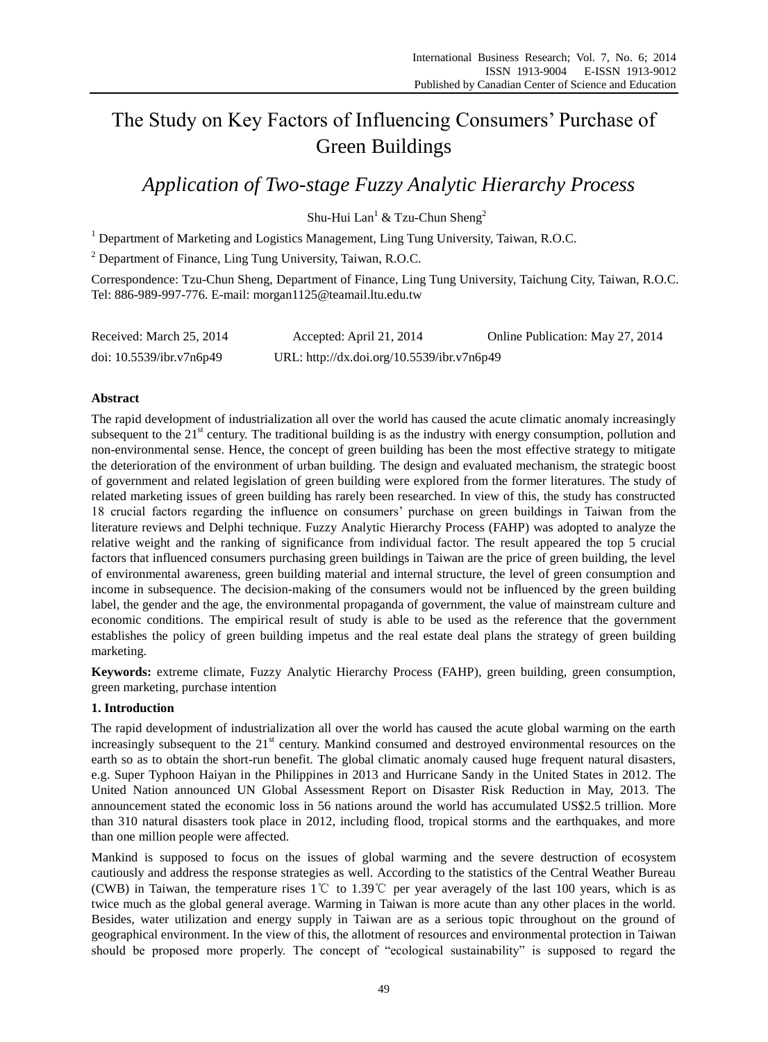# The Study on Key Factors of Influencing Consumers' Purchase of Green Buildings

# *Application of Two-stage Fuzzy Analytic Hierarchy Process*

Shu-Hui Lan<sup>1</sup> & Tzu-Chun Sheng<sup>2</sup>

<sup>1</sup> Department of Marketing and Logistics Management, Ling Tung University, Taiwan, R.O.C.

<sup>2</sup> Department of Finance, Ling Tung University, Taiwan, R.O.C.

Correspondence: Tzu-Chun Sheng, Department of Finance, Ling Tung University, Taichung City, Taiwan, R.O.C. Tel: 886-989-997-776. E-mail: morgan1125@teamail.ltu.edu.tw

| Received: March 25, 2014    | Accepted: April 21, 2014                   | Online Publication: May 27, 2014 |
|-----------------------------|--------------------------------------------|----------------------------------|
| doi: $10.5539$ /ibr.v7n6p49 | URL: http://dx.doi.org/10.5539/ibr.v7n6p49 |                                  |

# **Abstract**

The rapid development of industrialization all over the world has caused the acute climatic anomaly increasingly subsequent to the  $21<sup>st</sup>$  century. The traditional building is as the industry with energy consumption, pollution and non-environmental sense. Hence, the concept of green building has been the most effective strategy to mitigate the deterioration of the environment of urban building. The design and evaluated mechanism, the strategic boost of government and related legislation of green building were explored from the former literatures. The study of related marketing issues of green building has rarely been researched. In view of this, the study has constructed 18 crucial factors regarding the influence on consumers' purchase on green buildings in Taiwan from the literature reviews and Delphi technique. Fuzzy Analytic Hierarchy Process (FAHP) was adopted to analyze the relative weight and the ranking of significance from individual factor. The result appeared the top 5 crucial factors that influenced consumers purchasing green buildings in Taiwan are the price of green building, the level of environmental awareness, green building material and internal structure, the level of green consumption and income in subsequence. The decision-making of the consumers would not be influenced by the green building label, the gender and the age, the environmental propaganda of government, the value of mainstream culture and economic conditions. The empirical result of study is able to be used as the reference that the government establishes the policy of green building impetus and the real estate deal plans the strategy of green building marketing.

**Keywords:** extreme climate, Fuzzy Analytic Hierarchy Process (FAHP), green building, green consumption, green marketing, purchase intention

# **1. Introduction**

The rapid development of industrialization all over the world has caused the acute global warming on the earth increasingly subsequent to the 21<sup>st</sup> century. Mankind consumed and destroyed environmental resources on the earth so as to obtain the short-run benefit. The global climatic anomaly caused huge frequent natural disasters, e.g. Super Typhoon Haiyan in the Philippines in 2013 and Hurricane Sandy in the United States in 2012. The United Nation announced UN Global Assessment Report on Disaster Risk Reduction in May, 2013. The announcement stated the economic loss in 56 nations around the world has accumulated US\$2.5 trillion. More than 310 natural disasters took place in 2012, including flood, tropical storms and the earthquakes, and more than one million people were affected.

Mankind is supposed to focus on the issues of global warming and the severe destruction of ecosystem cautiously and address the response strategies as well. According to the statistics of the Central Weather Bureau (CWB) in Taiwan, the temperature rises 1℃ to 1.39℃ per year averagely of the last 100 years, which is as twice much as the global general average. Warming in Taiwan is more acute than any other places in the world. Besides, water utilization and energy supply in Taiwan are as a serious topic throughout on the ground of geographical environment. In the view of this, the allotment of resources and environmental protection in Taiwan should be proposed more properly. The concept of "ecological sustainability" is supposed to regard the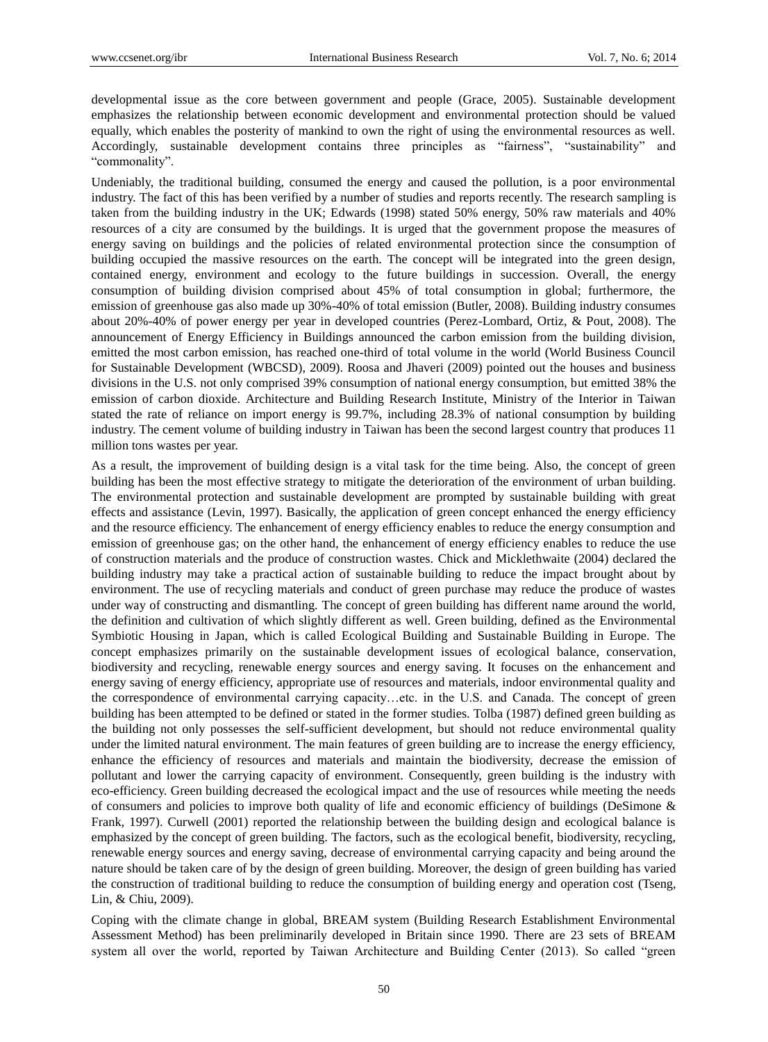developmental issue as the core between government and people (Grace, 2005). Sustainable development emphasizes the relationship between economic development and environmental protection should be valued equally, which enables the posterity of mankind to own the right of using the environmental resources as well. Accordingly, sustainable development contains three principles as "fairness", "sustainability" and "commonality".

Undeniably, the traditional building, consumed the energy and caused the pollution, is a poor environmental industry. The fact of this has been verified by a number of studies and reports recently. The research sampling is taken from the building industry in the UK; Edwards (1998) stated 50% energy, 50% raw materials and 40% resources of a city are consumed by the buildings. It is urged that the government propose the measures of energy saving on buildings and the policies of related environmental protection since the consumption of building occupied the massive resources on the earth. The concept will be integrated into the green design, contained energy, environment and ecology to the future buildings in succession. Overall, the energy consumption of building division comprised about 45% of total consumption in global; furthermore, the emission of greenhouse gas also made up 30%-40% of total emission (Butler, 2008). Building industry consumes about 20%-40% of power energy per year in developed countries (Perez-Lombard, Ortiz, & Pout, 2008). The announcement of Energy Efficiency in Buildings announced the carbon emission from the building division, emitted the most carbon emission, has reached one-third of total volume in the world (World Business Council for Sustainable Development (WBCSD), 2009). Roosa and Jhaveri (2009) pointed out the houses and business divisions in the U.S. not only comprised 39% consumption of national energy consumption, but emitted 38% the emission of carbon dioxide. Architecture and Building Research Institute, Ministry of the Interior in Taiwan stated the rate of reliance on import energy is 99.7%, including 28.3% of national consumption by building industry. The cement volume of building industry in Taiwan has been the second largest country that produces 11 million tons wastes per year.

As a result, the improvement of building design is a vital task for the time being. Also, the concept of green building has been the most effective strategy to mitigate the deterioration of the environment of urban building. The environmental protection and sustainable development are prompted by sustainable building with great effects and assistance (Levin, 1997). Basically, the application of green concept enhanced the energy efficiency and the resource efficiency. The enhancement of energy efficiency enables to reduce the energy consumption and emission of greenhouse gas; on the other hand, the enhancement of energy efficiency enables to reduce the use of construction materials and the produce of construction wastes. Chick and Micklethwaite (2004) declared the building industry may take a practical action of sustainable building to reduce the impact brought about by environment. The use of recycling materials and conduct of green purchase may reduce the produce of wastes under way of constructing and dismantling. The concept of green building has different name around the world, the definition and cultivation of which slightly different as well. Green building, defined as the Environmental Symbiotic Housing in Japan, which is called Ecological Building and Sustainable Building in Europe. The concept emphasizes primarily on the sustainable development issues of ecological balance, conservation, biodiversity and recycling, renewable energy sources and energy saving. It focuses on the enhancement and energy saving of energy efficiency, appropriate use of resources and materials, indoor environmental quality and the correspondence of environmental carrying capacity…etc. in the U.S. and Canada. The concept of green building has been attempted to be defined or stated in the former studies. Tolba (1987) defined green building as the building not only possesses the self-sufficient development, but should not reduce environmental quality under the limited natural environment. The main features of green building are to increase the energy efficiency, enhance the efficiency of resources and materials and maintain the biodiversity, decrease the emission of pollutant and lower the carrying capacity of environment. Consequently, green building is the industry with eco-efficiency. Green building decreased the ecological impact and the use of resources while meeting the needs of consumers and policies to improve both quality of life and economic efficiency of buildings (DeSimone & Frank, 1997). Curwell (2001) reported the relationship between the building design and ecological balance is emphasized by the concept of green building. The factors, such as the ecological benefit, biodiversity, recycling, renewable energy sources and energy saving, decrease of environmental carrying capacity and being around the nature should be taken care of by the design of green building. Moreover, the design of green building has varied the construction of traditional building to reduce the consumption of building energy and operation cost (Tseng, Lin, & Chiu, 2009).

Coping with the climate change in global, BREAM system (Building Research Establishment Environmental Assessment Method) has been preliminarily developed in Britain since 1990. There are 23 sets of BREAM system all over the world, reported by Taiwan Architecture and Building Center (2013). So called "green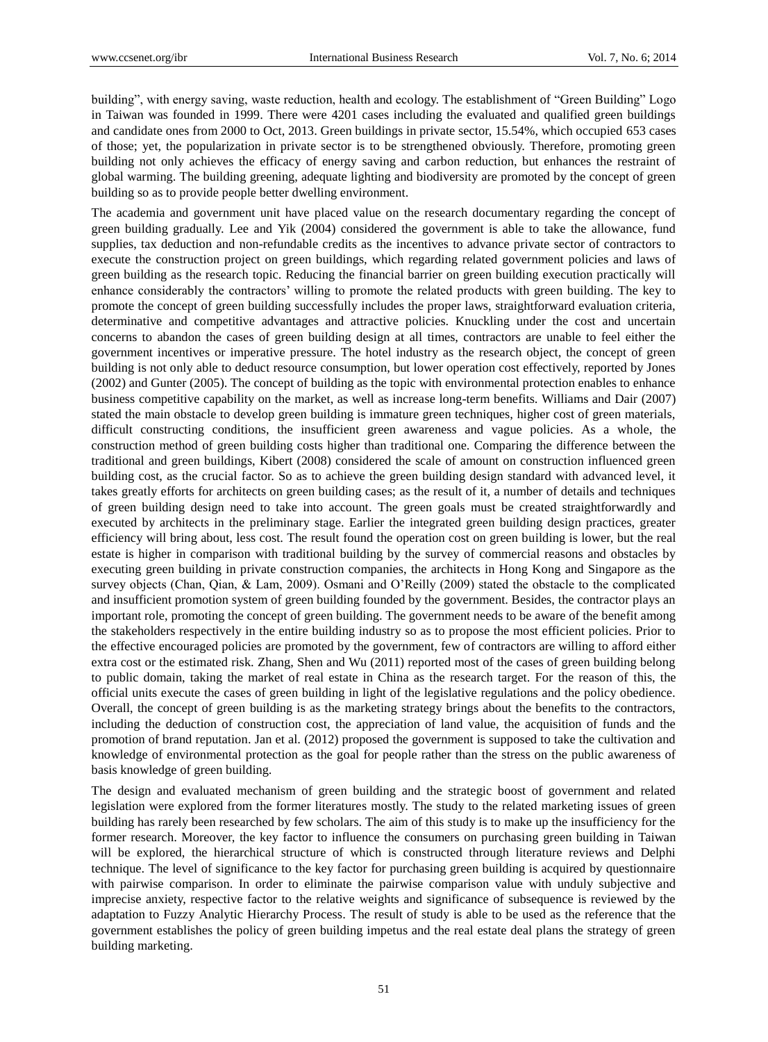building", with energy saving, waste reduction, health and ecology. The establishment of "Green Building" Logo in Taiwan was founded in 1999. There were 4201 cases including the evaluated and qualified green buildings and candidate ones from 2000 to Oct, 2013. Green buildings in private sector, 15.54%, which occupied 653 cases of those; yet, the popularization in private sector is to be strengthened obviously. Therefore, promoting green building not only achieves the efficacy of energy saving and carbon reduction, but enhances the restraint of global warming. The building greening, adequate lighting and biodiversity are promoted by the concept of green building so as to provide people better dwelling environment.

The academia and government unit have placed value on the research documentary regarding the concept of green building gradually. Lee and Yik (2004) considered the government is able to take the allowance, fund supplies, tax deduction and non-refundable credits as the incentives to advance private sector of contractors to execute the construction project on green buildings, which regarding related government policies and laws of green building as the research topic. Reducing the financial barrier on green building execution practically will enhance considerably the contractors' willing to promote the related products with green building. The key to promote the concept of green building successfully includes the proper laws, straightforward evaluation criteria, determinative and competitive advantages and attractive policies. Knuckling under the cost and uncertain concerns to abandon the cases of green building design at all times, contractors are unable to feel either the government incentives or imperative pressure. The hotel industry as the research object, the concept of green building is not only able to deduct resource consumption, but lower operation cost effectively, reported by Jones (2002) and Gunter (2005). The concept of building as the topic with environmental protection enables to enhance business competitive capability on the market, as well as increase long-term benefits. Williams and Dair (2007) stated the main obstacle to develop green building is immature green techniques, higher cost of green materials, difficult constructing conditions, the insufficient green awareness and vague policies. As a whole, the construction method of green building costs higher than traditional one. Comparing the difference between the traditional and green buildings, Kibert (2008) considered the scale of amount on construction influenced green building cost, as the crucial factor. So as to achieve the green building design standard with advanced level, it takes greatly efforts for architects on green building cases; as the result of it, a number of details and techniques of green building design need to take into account. The green goals must be created straightforwardly and executed by architects in the preliminary stage. Earlier the integrated green building design practices, greater efficiency will bring about, less cost. The result found the operation cost on green building is lower, but the real estate is higher in comparison with traditional building by the survey of commercial reasons and obstacles by executing green building in private construction companies, the architects in Hong Kong and Singapore as the survey objects (Chan, Qian, & Lam, 2009). Osmani and O'Reilly (2009) stated the obstacle to the complicated and insufficient promotion system of green building founded by the government. Besides, the contractor plays an important role, promoting the concept of green building. The government needs to be aware of the benefit among the stakeholders respectively in the entire building industry so as to propose the most efficient policies. Prior to the effective encouraged policies are promoted by the government, few of contractors are willing to afford either extra cost or the estimated risk. Zhang, Shen and Wu (2011) reported most of the cases of green building belong to public domain, taking the market of real estate in China as the research target. For the reason of this, the official units execute the cases of green building in light of the legislative regulations and the policy obedience. Overall, the concept of green building is as the marketing strategy brings about the benefits to the contractors, including the deduction of construction cost, the appreciation of land value, the acquisition of funds and the promotion of brand reputation. Jan et al. (2012) proposed the government is supposed to take the cultivation and knowledge of environmental protection as the goal for people rather than the stress on the public awareness of basis knowledge of green building.

The design and evaluated mechanism of green building and the strategic boost of government and related legislation were explored from the former literatures mostly. The study to the related marketing issues of green building has rarely been researched by few scholars. The aim of this study is to make up the insufficiency for the former research. Moreover, the key factor to influence the consumers on purchasing green building in Taiwan will be explored, the hierarchical structure of which is constructed through literature reviews and Delphi technique. The level of significance to the key factor for purchasing green building is acquired by questionnaire with pairwise comparison. In order to eliminate the pairwise comparison value with unduly subjective and imprecise anxiety, respective factor to the relative weights and significance of subsequence is reviewed by the adaptation to Fuzzy Analytic Hierarchy Process. The result of study is able to be used as the reference that the government establishes the policy of green building impetus and the real estate deal plans the strategy of green building marketing.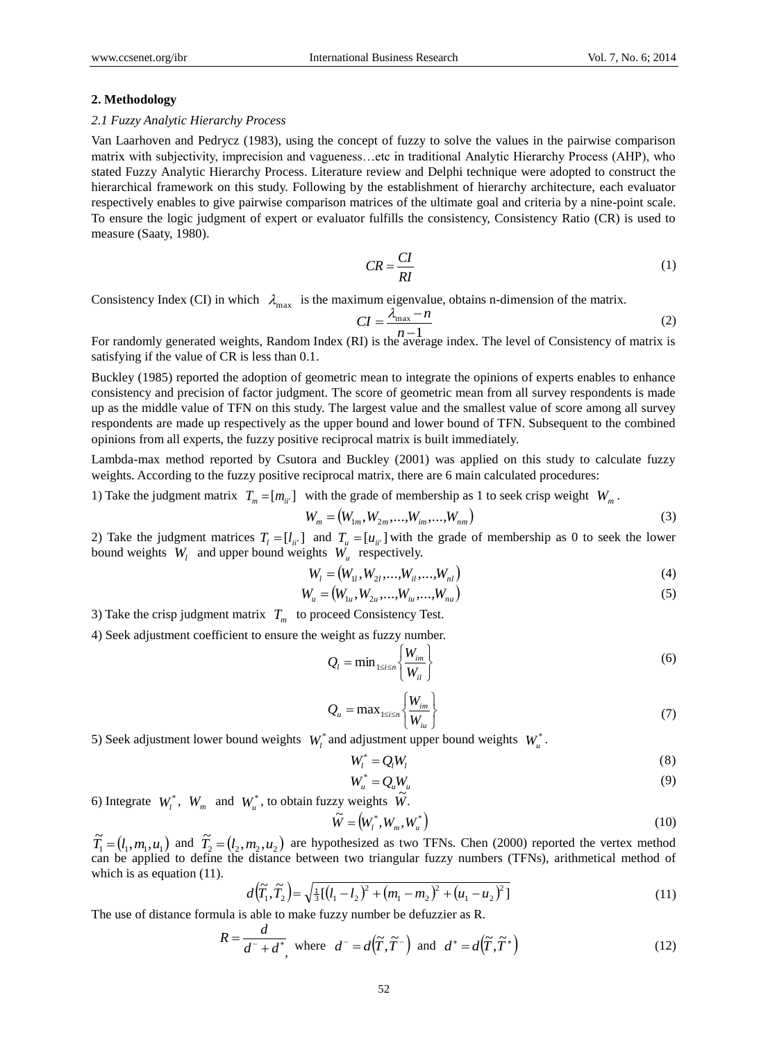#### **2. Methodology**

#### *2.1 Fuzzy Analytic Hierarchy Process*

Van Laarhoven and Pedrycz (1983), using the concept of fuzzy to solve the values in the pairwise comparison matrix with subjectivity, imprecision and vagueness…etc in traditional Analytic Hierarchy Process (AHP), who stated Fuzzy Analytic Hierarchy Process. Literature review and Delphi technique were adopted to construct the hierarchical framework on this study. Following by the establishment of hierarchy architecture, each evaluator respectively enables to give pairwise comparison matrices of the ultimate goal and criteria by a nine-point scale. To ensure the logic judgment of expert or evaluator fulfills the consistency, Consistency Ratio (CR) is used to measure (Saaty, 1980).

$$
CR = \frac{CI}{RI} \tag{1}
$$

Consistency Index (CI) in which  $\lambda_{\text{max}}$  is the maximum eigenvalue, obtains n-dimension of the matrix.

$$
CI = \frac{\lambda_{\text{max}} - n}{n - 1} \tag{2}
$$

For randomly generated weights, Random Index (RI) is the average index. The level of Consistency of matrix is satisfying if the value of CR is less than 0.1.

Buckley (1985) reported the adoption of geometric mean to integrate the opinions of experts enables to enhance consistency and precision of factor judgment. The score of geometric mean from all survey respondents is made up as the middle value of TFN on this study. The largest value and the smallest value of score among all survey respondents are made up respectively as the upper bound and lower bound of TFN. Subsequent to the combined opinions from all experts, the fuzzy positive reciprocal matrix is built immediately.

Lambda-max method reported by Csutora and Buckley (2001) was applied on this study to calculate fuzzy weights. According to the fuzzy positive reciprocal matrix, there are 6 main calculated procedures:

1) Take the judgment matrix  $T_m = [m_{ii'}]$  with the grade of membership as 1 to seek crisp weight  $W_m$ .

$$
W_m = (W_{1m}, W_{2m}, \dots, W_{im}, \dots, W_{nm})
$$
\n(3)

2) Take the judgment matrices  $T_i = [l_{ii}]\$  and  $T_i = [u_{ii}]\$  with the grade of membership as 0 to seek the lower bound weights  $W_l$  and upper bound weights  $W_u$  respectively.  $T_i = [l_{ii'}]$  and  $T_u = [u_{ii'}]$ 

$$
W_l = (W_{1l}, W_{2l}, \dots, W_{il}, \dots, W_{nl})
$$
\n<sup>(4)</sup>

$$
W_u = (W_{1u}, W_{2u}, \dots, W_{iu}, \dots, W_{nu})
$$
\n<sup>(5)</sup>

3) Take the crisp judgment matrix  $T_m$  to proceed Consistency Test.

4) Seek adjustment coefficient to ensure the weight as fuzzy number.

$$
Q_{l} = \min_{1 \leq i \leq n} \left\{ \frac{W_{im}}{W_{il}} \right\} \tag{6}
$$

$$
Q_u = \max_{1 \le i \le n} \left\{ \frac{W_{im}}{W_{iu}} \right\} \tag{7}
$$

5) Seek adjustment lower bound weights  $W_l^*$  and adjustment upper bound weights  $W_u^*$ .

$$
W_l^* = Q_l W_l \tag{8}
$$

$$
W_u^* = Q_u W_u \tag{9}
$$
weights  $\widetilde{W}$ .

6) Integrate  $W_l^*$ ,  $W_m$  and  $W_u^*$ , to obtain fuzzy weights  $\tilde{W}$ .

$$
\tilde{W} = (W_l^*, W_m, W_u^*)
$$
 (10)

 $\tilde{T}_1 = (l_1, m_1, u_1)$  and  $\tilde{T}_2 = (l_2, m_2, u_2)$  are hypothesized as two TFNs. Chen (2000) reported the vertex method can be applied to define the distance between two triangular fuzzy numbers (TFNs), arithmetical method of which is as equation  $(11)$ .

$$
d(\tilde{T}_1, \tilde{T}_2) = \sqrt{\frac{1}{3}[(l_1 - l_2)^2 + (m_1 - m_2)^2 + (u_1 - u_2)^2]}
$$
\n(11)

The use of distance formula is able to make fuzzy number be defuzzier as R.

$$
R = \frac{d}{d^- + d^*}
$$
, where  $d^- = d(\tilde{T}, \tilde{T}^-)$  and  $d^* = d(\tilde{T}, \tilde{T}^*)$  (12)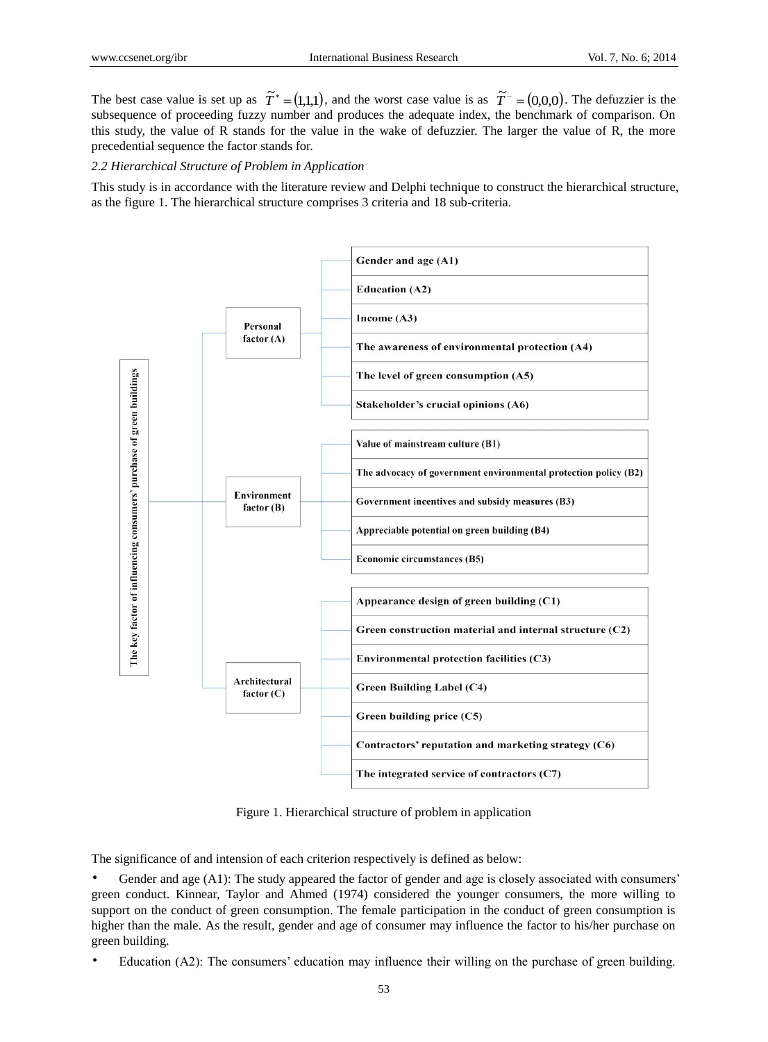The best case value is set up as  $\tilde{T}^* = (1,1,1)$ , and the worst case value is as  $\tilde{T}^- = (0,0,0)$ . The defuzzier is the subsequence of proceeding fuzzy number and produces the adequate index, the benchmark of comparison. On this study, the value of R stands for the value in the wake of defuzzier. The larger the value of R, the more precedential sequence the factor stands for.

#### *2.2 Hierarchical Structure of Problem in Application*

This study is in accordance with the literature review and Delphi technique to construct the hierarchical structure, as the figure 1. The hierarchical structure comprises 3 criteria and 18 sub-criteria.



Figure 1. Hierarchical structure of problem in application

The significance of and intension of each criterion respectively is defined as below:

Gender and age (A1): The study appeared the factor of gender and age is closely associated with consumers' green conduct. Kinnear, Taylor and Ahmed (1974) considered the younger consumers, the more willing to support on the conduct of green consumption. The female participation in the conduct of green consumption is higher than the male. As the result, gender and age of consumer may influence the factor to his/her purchase on green building.

Education (A2): The consumers' education may influence their willing on the purchase of green building.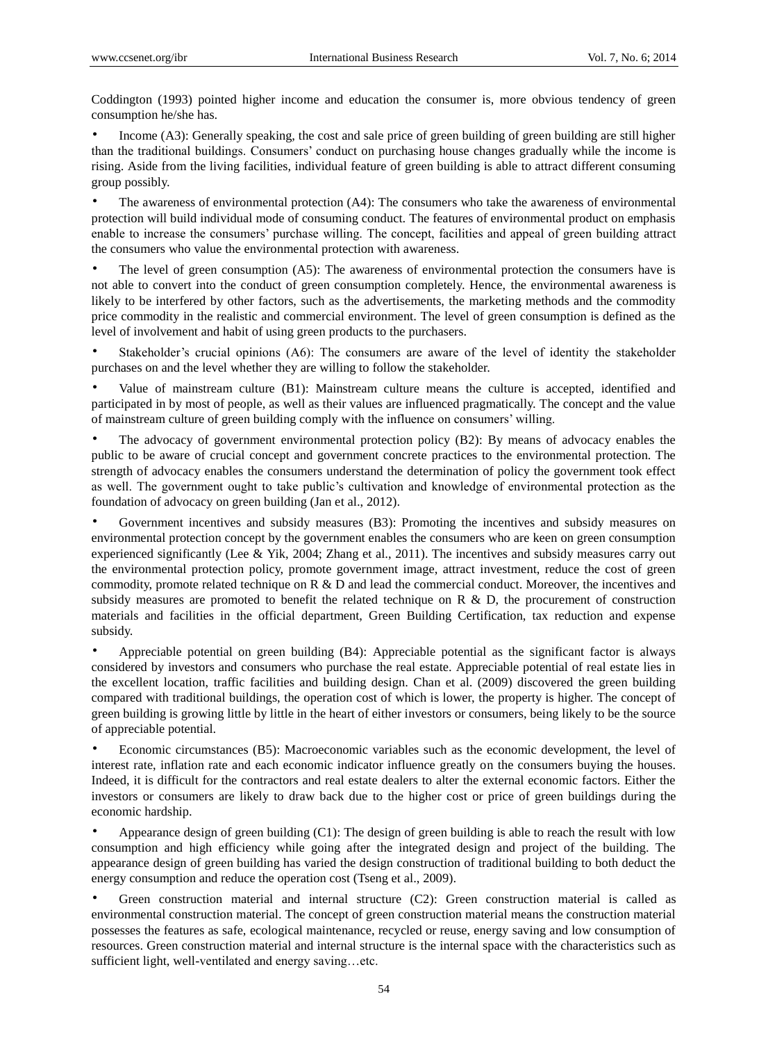Coddington (1993) pointed higher income and education the consumer is, more obvious tendency of green consumption he/she has.

• Income (A3): Generally speaking, the cost and sale price of green building of green building are still higher than the traditional buildings. Consumers' conduct on purchasing house changes gradually while the income is rising. Aside from the living facilities, individual feature of green building is able to attract different consuming group possibly.

• The awareness of environmental protection (A4): The consumers who take the awareness of environmental protection will build individual mode of consuming conduct. The features of environmental product on emphasis enable to increase the consumers' purchase willing. The concept, facilities and appeal of green building attract the consumers who value the environmental protection with awareness.

The level of green consumption (A5): The awareness of environmental protection the consumers have is not able to convert into the conduct of green consumption completely. Hence, the environmental awareness is likely to be interfered by other factors, such as the advertisements, the marketing methods and the commodity price commodity in the realistic and commercial environment. The level of green consumption is defined as the level of involvement and habit of using green products to the purchasers.

Stakeholder's crucial opinions (A6): The consumers are aware of the level of identity the stakeholder purchases on and the level whether they are willing to follow the stakeholder.

• Value of mainstream culture (B1): Mainstream culture means the culture is accepted, identified and participated in by most of people, as well as their values are influenced pragmatically. The concept and the value of mainstream culture of green building comply with the influence on consumers' willing.

The advocacy of government environmental protection policy (B2): By means of advocacy enables the public to be aware of crucial concept and government concrete practices to the environmental protection. The strength of advocacy enables the consumers understand the determination of policy the government took effect as well. The government ought to take public's cultivation and knowledge of environmental protection as the foundation of advocacy on green building (Jan et al., 2012).

• Government incentives and subsidy measures (B3): Promoting the incentives and subsidy measures on environmental protection concept by the government enables the consumers who are keen on green consumption experienced significantly (Lee & Yik, 2004; Zhang et al., 2011). The incentives and subsidy measures carry out the environmental protection policy, promote government image, attract investment, reduce the cost of green commodity, promote related technique on R & D and lead the commercial conduct. Moreover, the incentives and subsidy measures are promoted to benefit the related technique on R  $\&$  D, the procurement of construction materials and facilities in the official department, Green Building Certification, tax reduction and expense subsidy.

• Appreciable potential on green building (B4): Appreciable potential as the significant factor is always considered by investors and consumers who purchase the real estate. Appreciable potential of real estate lies in the excellent location, traffic facilities and building design. Chan et al. (2009) discovered the green building compared with traditional buildings, the operation cost of which is lower, the property is higher. The concept of green building is growing little by little in the heart of either investors or consumers, being likely to be the source of appreciable potential.

• Economic circumstances (B5): Macroeconomic variables such as the economic development, the level of interest rate, inflation rate and each economic indicator influence greatly on the consumers buying the houses. Indeed, it is difficult for the contractors and real estate dealers to alter the external economic factors. Either the investors or consumers are likely to draw back due to the higher cost or price of green buildings during the economic hardship.

• Appearance design of green building (C1): The design of green building is able to reach the result with low consumption and high efficiency while going after the integrated design and project of the building. The appearance design of green building has varied the design construction of traditional building to both deduct the energy consumption and reduce the operation cost (Tseng et al., 2009).

• Green construction material and internal structure (C2): Green construction material is called as environmental construction material. The concept of green construction material means the construction material possesses the features as safe, ecological maintenance, recycled or reuse, energy saving and low consumption of resources. Green construction material and internal structure is the internal space with the characteristics such as sufficient light, well-ventilated and energy saving…etc.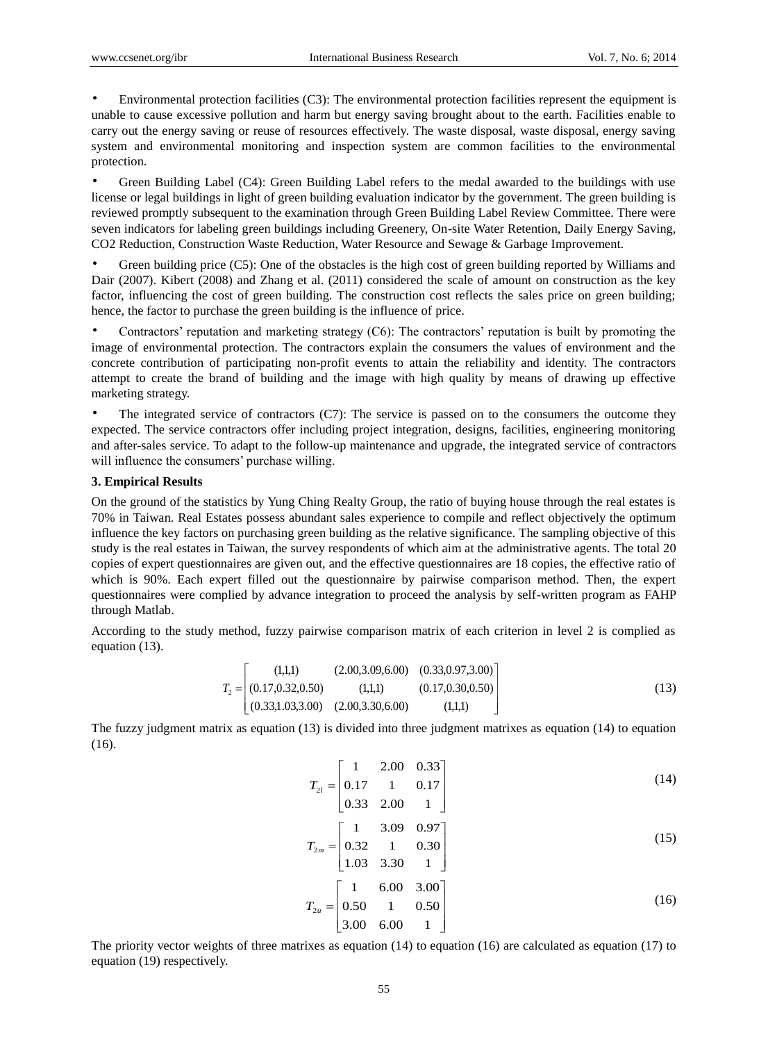• Environmental protection facilities (C3): The environmental protection facilities represent the equipment is unable to cause excessive pollution and harm but energy saving brought about to the earth. Facilities enable to carry out the energy saving or reuse of resources effectively. The waste disposal, waste disposal, energy saving system and environmental monitoring and inspection system are common facilities to the environmental protection.

• Green Building Label (C4): Green Building Label refers to the medal awarded to the buildings with use license or legal buildings in light of green building evaluation indicator by the government. The green building is reviewed promptly subsequent to the examination through Green Building Label Review Committee. There were seven indicators for labeling green buildings including Greenery, On-site Water Retention, Daily Energy Saving, CO2 Reduction, Construction Waste Reduction, Water Resource and Sewage & Garbage Improvement.

• Green building price (C5): One of the obstacles is the high cost of green building reported by Williams and Dair (2007). Kibert (2008) and Zhang et al. (2011) considered the scale of amount on construction as the key factor, influencing the cost of green building. The construction cost reflects the sales price on green building; hence, the factor to purchase the green building is the influence of price.

• Contractors' reputation and marketing strategy (C6): The contractors' reputation is built by promoting the image of environmental protection. The contractors explain the consumers the values of environment and the concrete contribution of participating non-profit events to attain the reliability and identity. The contractors attempt to create the brand of building and the image with high quality by means of drawing up effective marketing strategy.

The integrated service of contractors (C7): The service is passed on to the consumers the outcome they expected. The service contractors offer including project integration, designs, facilities, engineering monitoring and after-sales service. To adapt to the follow-up maintenance and upgrade, the integrated service of contractors will influence the consumers' purchase willing.

# **3. Empirical Results**

On the ground of the statistics by Yung Ching Realty Group, the ratio of buying house through the real estates is 70% in Taiwan. Real Estates possess abundant sales experience to compile and reflect objectively the optimum influence the key factors on purchasing green building as the relative significance. The sampling objective of this study is the real estates in Taiwan, the survey respondents of which aim at the administrative agents. The total 20 copies of expert questionnaires are given out, and the effective questionnaires are 18 copies, the effective ratio of which is 90%. Each expert filled out the questionnaire by pairwise comparison method. Then, the expert questionnaires were complied by advance integration to proceed the analysis by self-written program as FAHP through Matlab.

According to the study method, fuzzy pairwise comparison matrix of each criterion in level 2 is complied as equation (13).

$$
T_2 = \begin{bmatrix} (1,1,1) & (2.00,3.09,6.00) & (0.33,0.97,3.00) \\ (0.17,0.32,0.50) & (1,1,1) & (0.17,0.30,0.50) \\ (0.33,1.03,3.00) & (2.00,3.30,6.00) & (1,1,1) \end{bmatrix}
$$
(13)

The fuzzy judgment matrix as equation (13) is divided into three judgment matrixes as equation (14) to equation (16).

$$
T_{2l} = \begin{bmatrix} 1 & 2.00 & 0.33 \\ 0.17 & 1 & 0.17 \\ 0.33 & 2.00 & 1 \end{bmatrix}
$$
 (14)

$$
T_{2m} = \begin{bmatrix} 1 & 3.09 & 0.97 \\ 0.32 & 1 & 0.30 \\ 1.03 & 3.30 & 1 \end{bmatrix}
$$
 (15)

$$
T_{2u} = \begin{bmatrix} 1 & 6.00 & 3.00 \\ 0.50 & 1 & 0.50 \\ 3.00 & 6.00 & 1 \end{bmatrix}
$$
 (16)

The priority vector weights of three matrixes as equation (14) to equation (16) are calculated as equation (17) to equation (19) respectively.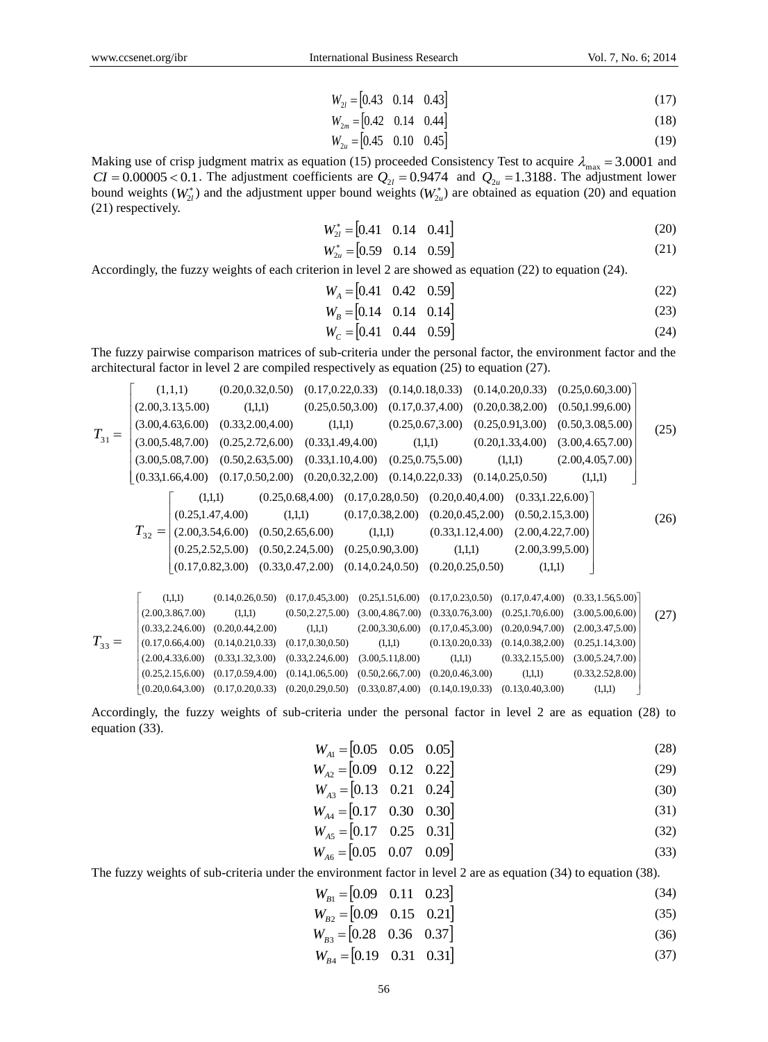$$
W_{2l} = [0.43 \quad 0.14 \quad 0.43] \tag{17}
$$

 $W_{2m} = \begin{bmatrix} 0.42 & 0.14 & 0.44 \end{bmatrix}$  (18)

$$
W_{2u} = [0.45 \quad 0.10 \quad 0.45] \tag{19}
$$

Making use of crisp judgment matrix as equation (15) proceeded Consistency Test to acquire  $\lambda_{\text{max}} = 3.0001$  and  $CI = 0.00005 < 0.1$ . The adjustment coefficients are  $Q_{2l} = 0.9474$  and  $Q_{2u} = 1.3188$ . The adjustment lower bound weights  $(W_{2l}^*)$  and the adjustment upper bound weights  $(W_{2u}^*)$  are obtained as equation (20) and equation (21) respectively.

$$
W_{2l}^* = [0.41 \quad 0.14 \quad 0.41] \tag{20}
$$

$$
W_{2u}^* = [0.59 \quad 0.14 \quad 0.59] \tag{21}
$$

Accordingly, the fuzzy weights of each criterion in level 2 are showed as equation (22) to equation (24).

$$
W_A = [0.41 \quad 0.42 \quad 0.59] \tag{22}
$$

$$
W_p = [0.14 \quad 0.14 \quad 0.14] \tag{23}
$$

$$
W_c = [0.41 \quad 0.44 \quad 0.59] \tag{24}
$$

The fuzzy pairwise comparison matrices of sub-criteria under the personal factor, the environment factor and the architectural factor in level 2 are compiled respectively as equation (25) to equation (27).

|            | (1,1,1)                                             |         |  |                                                                                                          |         |                    | $(0.20, 0.32, 0.50)$ $(0.17, 0.22, 0.33)$ $(0.14, 0.18, 0.33)$ $(0.14, 0.20, 0.33)$ $(0.25, 0.60, 3.00)$       |      |
|------------|-----------------------------------------------------|---------|--|----------------------------------------------------------------------------------------------------------|---------|--------------------|----------------------------------------------------------------------------------------------------------------|------|
|            | (2.00, 3.13, 5.00)                                  | (1,1,1) |  |                                                                                                          |         |                    | $(0.25, 0.50, 3.00)$ $(0.17, 0.37, 4.00)$ $(0.20, 0.38, 2.00)$ $(0.50, 1.99, 6.00)$                            |      |
|            | $(3.00, 4.63, 6.00)$ $(0.33, 2.00, 4.00)$ $(1,1,1)$ |         |  |                                                                                                          |         |                    | $(0.25, 0.67, 3.00)$ $(0.25, 0.91, 3.00)$ $(0.50, 3.08, 5.00)$                                                 | (25) |
| $T_{31} =$ |                                                     |         |  |                                                                                                          |         |                    | $(3.00,5.48,7.00)$ $(0.25,2.72,6.00)$ $(0.33,1.49,4.00)$ $(1,1,1)$ $(0.20,1.33,4.00)$ $(3.00,4.65,7.00)$       |      |
|            |                                                     |         |  | $(3.00,5.08,7.00)$ $(0.50,2.63,5.00)$ $(0.33,1.10,4.00)$ $(0.25,0.75,5.00)$ $(1,1,1)$                    |         |                    | (2.00, 4.05, 7.00)                                                                                             |      |
|            |                                                     |         |  | $(0.33, 1.66, 4.00)$ $(0.17, 0.50, 2.00)$ $(0.20, 0.32, 2.00)$ $(0.14, 0.22, 0.33)$ $(0.14, 0.25, 0.50)$ |         |                    | (1,1,1)                                                                                                        |      |
|            | (1,1,1)                                             |         |  | $(0.25, 0.68, 4.00)$ $(0.17, 0.28, 0.50)$ $(0.20, 0.40, 4.00)$ $(0.33, 1.22, 6.00)$                      |         |                    |                                                                                                                |      |
|            |                                                     |         |  | $(0.25, 1.47, 4.00)$ $(1,1,1)$ $(0.17, 0.38, 2.00)$ $(0.20, 0.45, 2.00)$ $(0.50, 2.15, 3.00)$            |         |                    |                                                                                                                | (26) |
|            |                                                     |         |  | $T_{32} = (2.00, 3.54, 6.00)$ $(0.50, 2.65, 6.00)$ $(1,1,1)$ $(0.33, 1.12, 4.00)$ $(2.00, 4.22, 7.00)$   |         |                    |                                                                                                                |      |
|            |                                                     |         |  | $(0.25, 2.52, 5.00)$ $(0.50, 2.24, 5.00)$ $(0.25, 0.90, 3.00)$                                           | (1,1,1) | (2.00, 3.99, 5.00) |                                                                                                                |      |
|            |                                                     |         |  | $(0.17, 0.82, 3.00)$ $(0.33, 0.47, 2.00)$ $(0.14, 0.24, 0.50)$ $(0.20, 0.25, 0.50)$                      |         | (1,1,1)            |                                                                                                                |      |
|            | (111)                                               |         |  |                                                                                                          |         |                    | $(0.14.0.26.050)$ $(0.17.0.45.2.00)$ $(0.251.51.6.00)$ $(0.17.0.22.050)$ $(0.17.0.47.4.00)$ $(0.22.1.56.5.00)$ |      |

 $\overline{\phantom{a}}$  $(0.33, 2.52, 8.00)$  $\overline{\phantom{a}}$  $(2.00,4.33,6.00)$   $(0.33,1.32,3.00)$   $(0.33,2.24,6.00)$   $(3.00,5.11,8.00)$   $(1,1,1)$   $(0.33,2.15,5.00)$   $(3.00,5.24,7.00)$  $(0.13, 0.20, 0.33)$   $(0.14, 0.38, 2.00)$   $(0.25, 1.14, 3.00)$  $\overline{\phantom{a}}$  $\vert$  (0.33,2.24,6.00) (0.20,0.44,2.00) (1,1,1) (2.00,3.30,6.00) (0.17,0.45,3.00) (0.20,0.94,7.00) (2.00,3.47,5.00)  $\vert$  $(2.00,3.86,7.00)$   $(1,1,1)$   $(0.50,2.27,5.00)$   $(3.00,4.86,7.00)$   $(0.33,0.76,3.00)$   $(0.25,1.70,6.00)$   $(3.00,5.00,6.00)$ J 中  $(0.20, 0.64, 3.00)$   $(0.17, 0.20, 0.33)$   $(0.20, 0.29, 0.50)$   $(0.33, 0.87, 4.00)$   $(0.14, 0.19, 0.33)$   $(0.13, 0.40, 3.00)$   $(1,1,1)$  (0.25,2.15,6.00) (0.17,0.59,4.00) (0.14,1.06,5.00) (0.50,2.66,7.00) (0.20,0.46,3.00) (1,1,1) (0.33,2.52,8.00)  $(0.17,0.66,4.00)$   $(0.14,0.21,0.33)$   $(0.17,0.30,0.50)$   $(1,1,1)$   $(0.13,0.20,0.33)$   $(0.14,0.38,2.00)$   $(0.25,1.14,3.00)$  $\vert$  $\mathbf{L}$  $(0.17, 0.45, 3.00)$   $(0.25, 1.51, 6.00)$   $(0.17, 0.23, 0.50)$   $(0.17, 0.47, 4.00)$   $(0.33, 1.56, 5.00)$ (27)  $T_{33} =$ 

Accordingly, the fuzzy weights of sub-criteria under the personal factor in level 2 are as equation (28) to equation (33).

$$
W_{\rm Al} = [0.05 \quad 0.05 \quad 0.05] \tag{28}
$$

$$
W_{A2} = [0.09 \quad 0.12 \quad 0.22] \tag{29}
$$

$$
W_{A3} = [0.13 \quad 0.21 \quad 0.24]
$$
 (30)

$$
W_{A4} = [0.17 \quad 0.30 \quad 0.30] \tag{31}
$$

$$
W_{AS} = [0.17 \quad 0.25 \quad 0.31] \tag{32}
$$

$$
W_{A6} = \begin{bmatrix} 0.05 & 0.07 & 0.09 \end{bmatrix}
$$
 (33)

The fuzzy weights of sub-criteria under the environment factor in level 2 are as equation (34) to equation (38).

$$
W_{B1} = [0.09 \quad 0.11 \quad 0.23] \tag{34}
$$

$$
W_{B2} = [0.09 \quad 0.15 \quad 0.21] \tag{35}
$$

$$
W_{B3} = \begin{bmatrix} 0.28 & 0.36 & 0.37 \end{bmatrix}
$$
 (36)

$$
W_{B4} = [0.19 \quad 0.31 \quad 0.31] \tag{37}
$$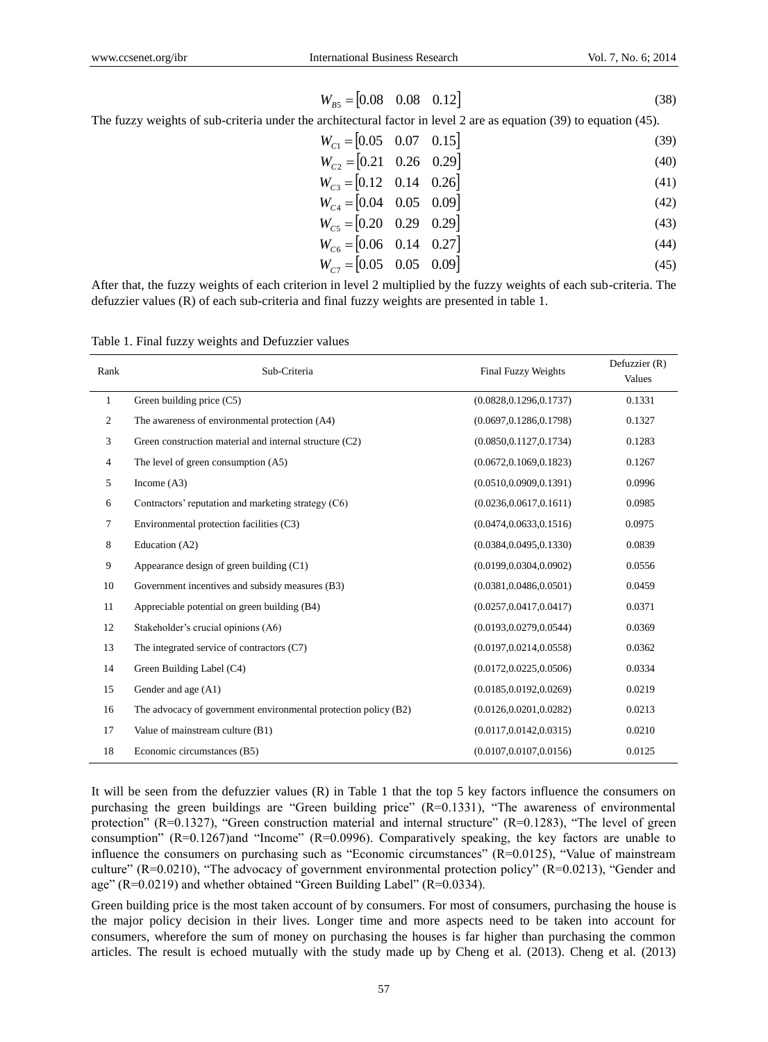| $W_{B5} = [0.08 \quad 0.08 \quad 0.12]$ |  |  |  |  | (38) |
|-----------------------------------------|--|--|--|--|------|
|-----------------------------------------|--|--|--|--|------|

The fuzzy weights of sub-criteria under the architectural factor in level 2 are as equation (39) to equation (45).

| $W_{C_1} = \begin{bmatrix} 0.05 & 0.07 & 0.15 \end{bmatrix}$ |  | (39) |
|--------------------------------------------------------------|--|------|
| $W_{C2} = [0.21 \ 0.26 \ 0.29]$                              |  | (40) |
| $W_{C3} = [0.12 \quad 0.14 \quad 0.26]$                      |  | (41) |
| $W_{C4} = \begin{bmatrix} 0.04 & 0.05 & 0.09 \end{bmatrix}$  |  | (42) |
| $W_{cs} = [0.20 \quad 0.29 \quad 0.29]$                      |  | (43) |
| $W_{cs} = [0.06 \quad 0.14 \quad 0.27]$                      |  | (44) |
| $W_{C7} = [0.05 \quad 0.05 \quad 0.09]$                      |  | (45) |

After that, the fuzzy weights of each criterion in level 2 multiplied by the fuzzy weights of each sub-criteria. The defuzzier values (R) of each sub-criteria and final fuzzy weights are presented in table 1.

| Table 1. Final fuzzy weights and Defuzzier values |
|---------------------------------------------------|
|---------------------------------------------------|

| Rank           | Sub-Criteria                                                    | <b>Final Fuzzy Weights</b> | Defuzzier (R)<br>Values |
|----------------|-----------------------------------------------------------------|----------------------------|-------------------------|
| $\mathbf{1}$   | Green building price (C5)                                       | (0.0828, 0.1296, 0.1737)   | 0.1331                  |
| 2              | The awareness of environmental protection (A4)                  | (0.0697, 0.1286, 0.1798)   | 0.1327                  |
| 3              | Green construction material and internal structure (C2)         | (0.0850, 0.1127, 0.1734)   | 0.1283                  |
| $\overline{4}$ | The level of green consumption (A5)                             | (0.0672, 0.1069, 0.1823)   | 0.1267                  |
| 5              | Income $(A3)$                                                   | (0.0510, 0.0909, 0.1391)   | 0.0996                  |
| 6              | Contractors' reputation and marketing strategy (C6)             | (0.0236, 0.0617, 0.1611)   | 0.0985                  |
| 7              | Environmental protection facilities (C3)                        | (0.0474, 0.0633, 0.1516)   | 0.0975                  |
| 8              | Education (A2)                                                  | (0.0384, 0.0495, 0.1330)   | 0.0839                  |
| 9              | Appearance design of green building (C1)                        | (0.0199, 0.0304, 0.0902)   | 0.0556                  |
| 10             | Government incentives and subsidy measures (B3)                 | (0.0381, 0.0486, 0.0501)   | 0.0459                  |
| 11             | Appreciable potential on green building (B4)                    | (0.0257, 0.0417, 0.0417)   | 0.0371                  |
| 12             | Stakeholder's crucial opinions (A6)                             | (0.0193, 0.0279, 0.0544)   | 0.0369                  |
| 13             | The integrated service of contractors (C7)                      | (0.0197, 0.0214, 0.0558)   | 0.0362                  |
| 14             | Green Building Label (C4)                                       | (0.0172, 0.0225, 0.0506)   | 0.0334                  |
| 15             | Gender and age (A1)                                             | (0.0185, 0.0192, 0.0269)   | 0.0219                  |
| 16             | The advocacy of government environmental protection policy (B2) | (0.0126, 0.0201, 0.0282)   | 0.0213                  |
| 17             | Value of mainstream culture (B1)                                | (0.0117, 0.0142, 0.0315)   | 0.0210                  |
| 18             | Economic circumstances (B5)                                     | (0.0107, 0.0107, 0.0156)   | 0.0125                  |

It will be seen from the defuzzier values (R) in Table 1 that the top 5 key factors influence the consumers on purchasing the green buildings are "Green building price" (R=0.1331), "The awareness of environmental protection" (R=0.1327), "Green construction material and internal structure" (R=0.1283), "The level of green consumption" (R=0.1267)and "Income" (R=0.0996). Comparatively speaking, the key factors are unable to influence the consumers on purchasing such as "Economic circumstances" (R=0.0125), "Value of mainstream culture" (R=0.0210), "The advocacy of government environmental protection policy" (R=0.0213), "Gender and age" (R=0.0219) and whether obtained "Green Building Label" (R=0.0334).

Green building price is the most taken account of by consumers. For most of consumers, purchasing the house is the major policy decision in their lives. Longer time and more aspects need to be taken into account for consumers, wherefore the sum of money on purchasing the houses is far higher than purchasing the common articles. The result is echoed mutually with the study made up by Cheng et al. (2013). Cheng et al. (2013)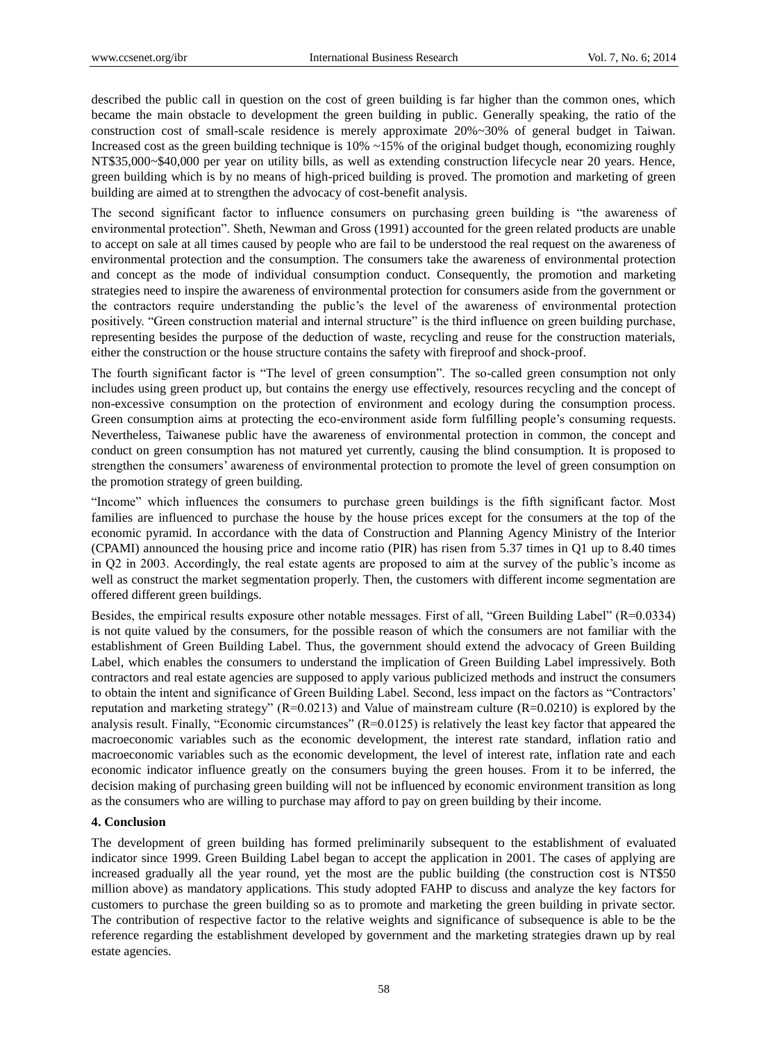described the public call in question on the cost of green building is far higher than the common ones, which became the main obstacle to development the green building in public. Generally speaking, the ratio of the construction cost of small-scale residence is merely approximate 20%~30% of general budget in Taiwan. Increased cost as the green building technique is  $10\% \sim 15\%$  of the original budget though, economizing roughly NT\$35,000~\$40,000 per year on utility bills, as well as extending construction lifecycle near 20 years. Hence, green building which is by no means of high-priced building is proved. The promotion and marketing of green building are aimed at to strengthen the advocacy of cost-benefit analysis.

The second significant factor to influence consumers on purchasing green building is "the awareness of environmental protection". Sheth, Newman and Gross (1991) accounted for the green related products are unable to accept on sale at all times caused by people who are fail to be understood the real request on the awareness of environmental protection and the consumption. The consumers take the awareness of environmental protection and concept as the mode of individual consumption conduct. Consequently, the promotion and marketing strategies need to inspire the awareness of environmental protection for consumers aside from the government or the contractors require understanding the public's the level of the awareness of environmental protection positively. "Green construction material and internal structure" is the third influence on green building purchase, representing besides the purpose of the deduction of waste, recycling and reuse for the construction materials, either the construction or the house structure contains the safety with fireproof and shock-proof.

The fourth significant factor is "The level of green consumption". The so-called green consumption not only includes using green product up, but contains the energy use effectively, resources recycling and the concept of non-excessive consumption on the protection of environment and ecology during the consumption process. Green consumption aims at protecting the eco-environment aside form fulfilling people's consuming requests. Nevertheless, Taiwanese public have the awareness of environmental protection in common, the concept and conduct on green consumption has not matured yet currently, causing the blind consumption. It is proposed to strengthen the consumers' awareness of environmental protection to promote the level of green consumption on the promotion strategy of green building.

"Income" which influences the consumers to purchase green buildings is the fifth significant factor. Most families are influenced to purchase the house by the house prices except for the consumers at the top of the economic pyramid. In accordance with the data of Construction and Planning Agency Ministry of the Interior (CPAMI) announced the housing price and income ratio (PIR) has risen from 5.37 times in Q1 up to 8.40 times in Q2 in 2003. Accordingly, the real estate agents are proposed to aim at the survey of the public's income as well as construct the market segmentation properly. Then, the customers with different income segmentation are offered different green buildings.

Besides, the empirical results exposure other notable messages. First of all, "Green Building Label" (R=0.0334) is not quite valued by the consumers, for the possible reason of which the consumers are not familiar with the establishment of Green Building Label. Thus, the government should extend the advocacy of Green Building Label, which enables the consumers to understand the implication of Green Building Label impressively. Both contractors and real estate agencies are supposed to apply various publicized methods and instruct the consumers to obtain the intent and significance of Green Building Label. Second, less impact on the factors as "Contractors' reputation and marketing strategy" (R=0.0213) and Value of mainstream culture (R=0.0210) is explored by the analysis result. Finally, "Economic circumstances" (R=0.0125) is relatively the least key factor that appeared the macroeconomic variables such as the economic development, the interest rate standard, inflation ratio and macroeconomic variables such as the economic development, the level of interest rate, inflation rate and each economic indicator influence greatly on the consumers buying the green houses. From it to be inferred, the decision making of purchasing green building will not be influenced by economic environment transition as long as the consumers who are willing to purchase may afford to pay on green building by their income.

#### **4. Conclusion**

The development of green building has formed preliminarily subsequent to the establishment of evaluated indicator since 1999. Green Building Label began to accept the application in 2001. The cases of applying are increased gradually all the year round, yet the most are the public building (the construction cost is NT\$50 million above) as mandatory applications. This study adopted FAHP to discuss and analyze the key factors for customers to purchase the green building so as to promote and marketing the green building in private sector. The contribution of respective factor to the relative weights and significance of subsequence is able to be the reference regarding the establishment developed by government and the marketing strategies drawn up by real estate agencies.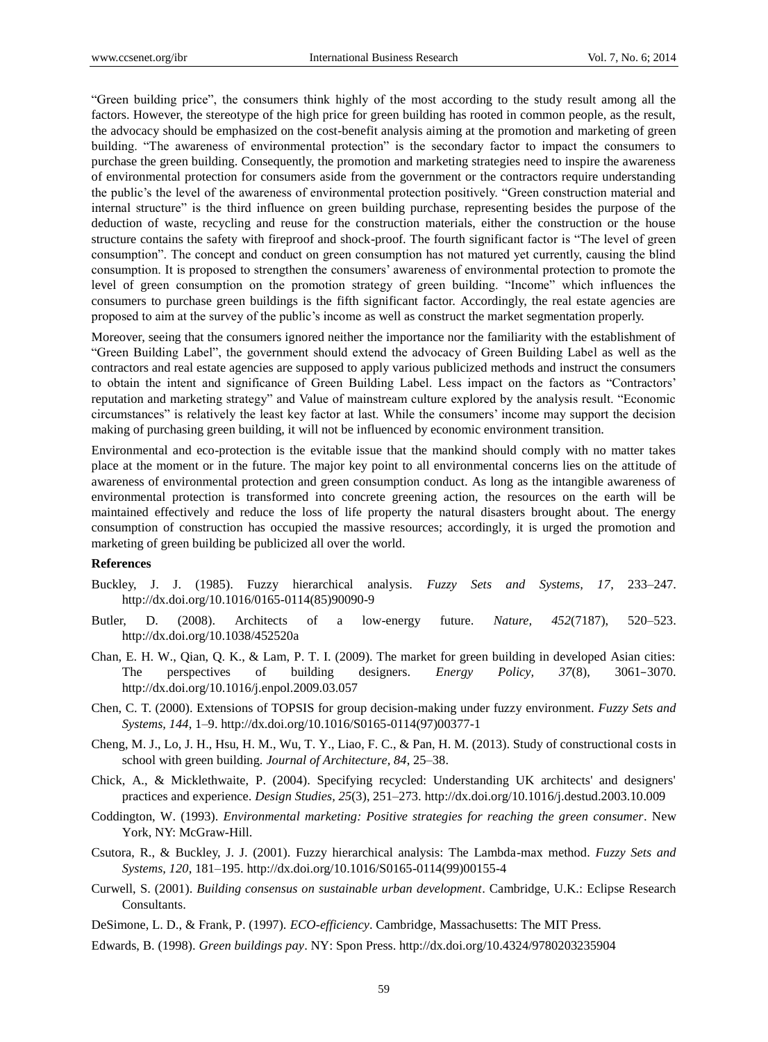"Green building price", the consumers think highly of the most according to the study result among all the factors. However, the stereotype of the high price for green building has rooted in common people, as the result, the advocacy should be emphasized on the cost-benefit analysis aiming at the promotion and marketing of green building. "The awareness of environmental protection" is the secondary factor to impact the consumers to purchase the green building. Consequently, the promotion and marketing strategies need to inspire the awareness of environmental protection for consumers aside from the government or the contractors require understanding the public's the level of the awareness of environmental protection positively. "Green construction material and internal structure" is the third influence on green building purchase, representing besides the purpose of the deduction of waste, recycling and reuse for the construction materials, either the construction or the house structure contains the safety with fireproof and shock-proof. The fourth significant factor is "The level of green consumption". The concept and conduct on green consumption has not matured yet currently, causing the blind consumption. It is proposed to strengthen the consumers' awareness of environmental protection to promote the level of green consumption on the promotion strategy of green building. "Income" which influences the consumers to purchase green buildings is the fifth significant factor. Accordingly, the real estate agencies are proposed to aim at the survey of the public's income as well as construct the market segmentation properly.

Moreover, seeing that the consumers ignored neither the importance nor the familiarity with the establishment of "Green Building Label", the government should extend the advocacy of Green Building Label as well as the contractors and real estate agencies are supposed to apply various publicized methods and instruct the consumers to obtain the intent and significance of Green Building Label. Less impact on the factors as "Contractors' reputation and marketing strategy" and Value of mainstream culture explored by the analysis result. "Economic circumstances" is relatively the least key factor at last. While the consumers' income may support the decision making of purchasing green building, it will not be influenced by economic environment transition.

Environmental and eco-protection is the evitable issue that the mankind should comply with no matter takes place at the moment or in the future. The major key point to all environmental concerns lies on the attitude of awareness of environmental protection and green consumption conduct. As long as the intangible awareness of environmental protection is transformed into concrete greening action, the resources on the earth will be maintained effectively and reduce the loss of life property the natural disasters brought about. The energy consumption of construction has occupied the massive resources; accordingly, it is urged the promotion and marketing of green building be publicized all over the world.

## **References**

- Buckley, J. J. (1985). Fuzzy hierarchical analysis. *Fuzzy Sets and Systems, 17*, 233–247. http://dx.doi.org/10.1016/0165-0114(85)90090-9
- Butler, D. (2008). Architects of a low-energy future. *Nature, 452*(7187), 520–523. http://dx.doi.org/10.1038/452520a
- Chan, E. H. W., Qian, Q. K., & Lam, P. T. I. (2009). The market for green building in developed Asian cities: The perspectives of building designers. *Energy Policy, 37*(8), 3061–3070. http://dx.doi.org/10.1016/j.enpol.2009.03.057
- Chen, C. T. (2000). Extensions of TOPSIS for group decision-making under fuzzy environment. *Fuzzy Sets and Systems, 144*, 1–9. http://dx.doi.org/10.1016/S0165-0114(97)00377-1
- Cheng, M. J., Lo, J. H., Hsu, H. M., Wu, T. Y., Liao, F. C., & Pan, H. M. (2013). Study of constructional costs in school with green building. *Journal of Architecture, 84*, 25–38.
- Chick, A., & Micklethwaite, P. (2004). Specifying recycled: Understanding UK architects' and designers' practices and experience. *Design Studies, 25*(3), 251–273. http://dx.doi.org/10.1016/j.destud.2003.10.009
- Coddington, W. (1993). *Environmental marketing: Positive strategies for reaching the green consumer*. New York, NY: McGraw-Hill.
- Csutora, R., & Buckley, J. J. (2001). Fuzzy hierarchical analysis: The Lambda-max method. *Fuzzy Sets and Systems, 120*, 181–195. http://dx.doi.org/10.1016/S0165-0114(99)00155-4
- Curwell, S. (2001). *Building consensus on sustainable urban development*. Cambridge, U.K.: Eclipse Research Consultants.
- DeSimone, L. D., & Frank, P. (1997). *ECO-efficiency*. Cambridge, Massachusetts: The MIT Press.
- Edwards, B. (1998). *Green buildings pay*. NY: Spon Press. http://dx.doi.org/10.4324/9780203235904